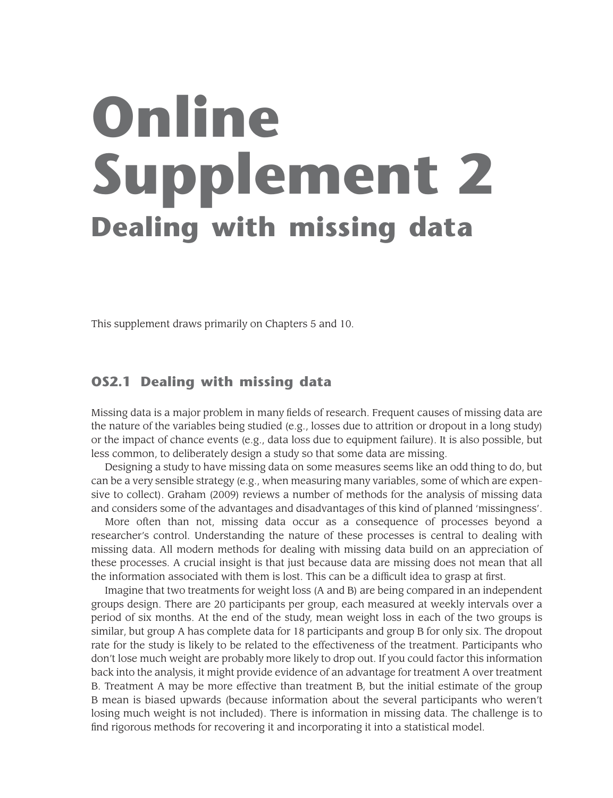# **Online Supplement 2 Dealing with missing data**

This supplement draws primarily on Chapters 5 and 10.

# **OS2.1 Dealing with missing data**

Missing data is a major problem in many fields of research. Frequent causes of missing data are the nature of the variables being studied (e.g., losses due to attrition or dropout in a long study) or the impact of chance events (e.g., data loss due to equipment failure). It is also possible, but less common, to deliberately design a study so that some data are missing.

Designing a study to have missing data on some measures seems like an odd thing to do, but can be a very sensible strategy (e.g., when measuring many variables, some of which are expensive to collect). Graham (2009) reviews a number of methods for the analysis of missing data and considers some of the advantages and disadvantages of this kind of planned 'missingness'.

More often than not, missing data occur as a consequence of processes beyond a researcher's control. Understanding the nature of these processes is central to dealing with missing data. All modern methods for dealing with missing data build on an appreciation of these processes. A crucial insight is that just because data are missing does not mean that all the information associated with them is lost. This can be a difficult idea to grasp at first.

Imagine that two treatments for weight loss (A and B) are being compared in an independent groups design. There are 20 participants per group, each measured at weekly intervals over a period of six months. At the end of the study, mean weight loss in each of the two groups is similar, but group A has complete data for 18 participants and group B for only six. The dropout rate for the study is likely to be related to the effectiveness of the treatment. Participants who don't lose much weight are probably more likely to drop out. If you could factor this information back into the analysis, it might provide evidence of an advantage for treatment A over treatment B. Treatment A may be more effective than treatment B, but the initial estimate of the group B mean is biased upwards (because information about the several participants who weren't losing much weight is not included). There is information in missing data. The challenge is to find rigorous methods for recovering it and incorporating it into a statistical model.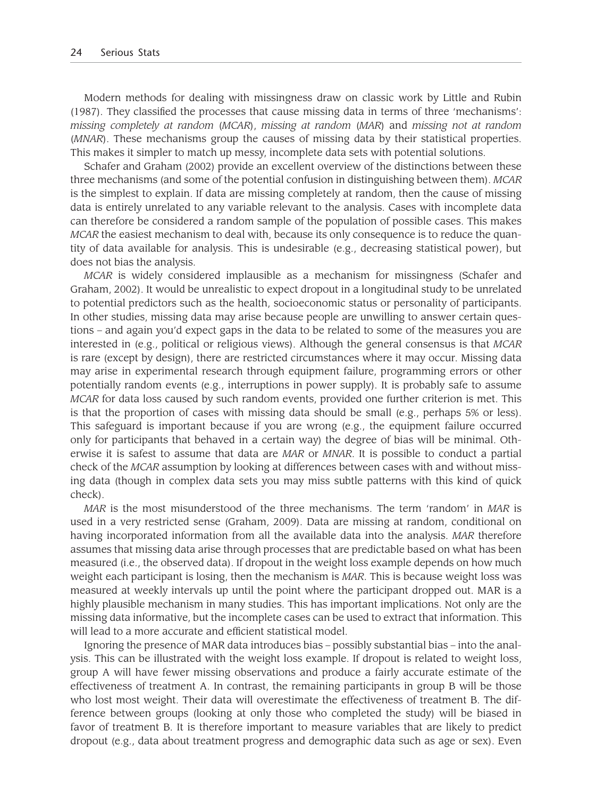Modern methods for dealing with missingness draw on classic work by Little and Rubin (1987). They classified the processes that cause missing data in terms of three 'mechanisms': *missing completely at random* (*MCAR*), *missing at random* (*MAR*) and *missing not at random* (*MNAR*). These mechanisms group the causes of missing data by their statistical properties. This makes it simpler to match up messy, incomplete data sets with potential solutions.

Schafer and Graham (2002) provide an excellent overview of the distinctions between these three mechanisms (and some of the potential confusion in distinguishing between them). *MCAR* is the simplest to explain. If data are missing completely at random, then the cause of missing data is entirely unrelated to any variable relevant to the analysis. Cases with incomplete data can therefore be considered a random sample of the population of possible cases. This makes *MCAR* the easiest mechanism to deal with, because its only consequence is to reduce the quantity of data available for analysis. This is undesirable (e.g., decreasing statistical power), but does not bias the analysis.

*MCAR* is widely considered implausible as a mechanism for missingness (Schafer and Graham, 2002). It would be unrealistic to expect dropout in a longitudinal study to be unrelated to potential predictors such as the health, socioeconomic status or personality of participants. In other studies, missing data may arise because people are unwilling to answer certain questions – and again you'd expect gaps in the data to be related to some of the measures you are interested in (e.g., political or religious views). Although the general consensus is that *MCAR* is rare (except by design), there are restricted circumstances where it may occur. Missing data may arise in experimental research through equipment failure, programming errors or other potentially random events (e.g., interruptions in power supply). It is probably safe to assume *MCAR* for data loss caused by such random events, provided one further criterion is met. This is that the proportion of cases with missing data should be small (e.g., perhaps 5% or less). This safeguard is important because if you are wrong (e.g., the equipment failure occurred only for participants that behaved in a certain way) the degree of bias will be minimal. Otherwise it is safest to assume that data are *MAR* or *MNAR*. It is possible to conduct a partial check of the *MCAR* assumption by looking at differences between cases with and without missing data (though in complex data sets you may miss subtle patterns with this kind of quick check).

*MAR* is the most misunderstood of the three mechanisms. The term 'random' in *MAR* is used in a very restricted sense (Graham, 2009). Data are missing at random, conditional on having incorporated information from all the available data into the analysis. *MAR* therefore assumes that missing data arise through processes that are predictable based on what has been measured (i.e., the observed data). If dropout in the weight loss example depends on how much weight each participant is losing, then the mechanism is *MAR*. This is because weight loss was measured at weekly intervals up until the point where the participant dropped out. MAR is a highly plausible mechanism in many studies. This has important implications. Not only are the missing data informative, but the incomplete cases can be used to extract that information. This will lead to a more accurate and efficient statistical model.

Ignoring the presence of MAR data introduces bias – possibly substantial bias – into the analysis. This can be illustrated with the weight loss example. If dropout is related to weight loss, group A will have fewer missing observations and produce a fairly accurate estimate of the effectiveness of treatment A. In contrast, the remaining participants in group B will be those who lost most weight. Their data will overestimate the effectiveness of treatment B. The difference between groups (looking at only those who completed the study) will be biased in favor of treatment B. It is therefore important to measure variables that are likely to predict dropout (e.g., data about treatment progress and demographic data such as age or sex). Even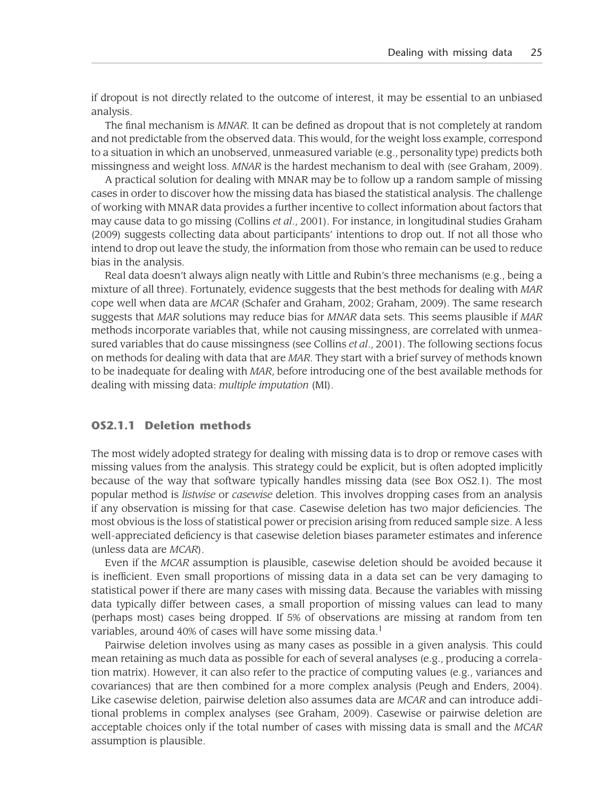if dropout is not directly related to the outcome of interest, it may be essential to an unbiased analysis.

The final mechanism is *MNAR*. It can be defined as dropout that is not completely at random and not predictable from the observed data. This would, for the weight loss example, correspond to a situation in which an unobserved, unmeasured variable (e.g., personality type) predicts both missingness and weight loss. *MNAR* is the hardest mechanism to deal with (see Graham, 2009).

A practical solution for dealing with MNAR may be to follow up a random sample of missing cases in order to discover how the missing data has biased the statistical analysis. The challenge of working with MNAR data provides a further incentive to collect information about factors that may cause data to go missing (Collins *et al*., 2001). For instance, in longitudinal studies Graham (2009) suggests collecting data about participants' intentions to drop out. If not all those who intend to drop out leave the study, the information from those who remain can be used to reduce bias in the analysis.

Real data doesn't always align neatly with Little and Rubin's three mechanisms (e.g., being a mixture of all three). Fortunately, evidence suggests that the best methods for dealing with *MAR* cope well when data are *MCAR* (Schafer and Graham, 2002; Graham, 2009). The same research suggests that *MAR* solutions may reduce bias for *MNAR* data sets. This seems plausible if *MAR* methods incorporate variables that, while not causing missingness, are correlated with unmeasured variables that do cause missingness (see Collins *et al*., 2001). The following sections focus on methods for dealing with data that are *MAR*. They start with a brief survey of methods known to be inadequate for dealing with *MAR*, before introducing one of the best available methods for dealing with missing data: *multiple imputation* (MI).

#### **OS2.1.1 Deletion methods**

The most widely adopted strategy for dealing with missing data is to drop or remove cases with missing values from the analysis. This strategy could be explicit, but is often adopted implicitly because of the way that software typically handles missing data (see Box OS2.1). The most popular method is *listwise* or *casewise* deletion. This involves dropping cases from an analysis if any observation is missing for that case. Casewise deletion has two major deficiencies. The most obvious is the loss of statistical power or precision arising from reduced sample size. A less well-appreciated deficiency is that casewise deletion biases parameter estimates and inference (unless data are *MCAR*).

Even if the *MCAR* assumption is plausible, casewise deletion should be avoided because it is inefficient. Even small proportions of missing data in a data set can be very damaging to statistical power if there are many cases with missing data. Because the variables with missing data typically differ between cases, a small proportion of missing values can lead to many (perhaps most) cases being dropped. If 5% of observations are missing at random from ten variables, around 40% of cases will have some missing data.<sup>1</sup>

Pairwise deletion involves using as many cases as possible in a given analysis. This could mean retaining as much data as possible for each of several analyses (e.g., producing a correlation matrix). However, it can also refer to the practice of computing values (e.g., variances and covariances) that are then combined for a more complex analysis (Peugh and Enders, 2004). Like casewise deletion, pairwise deletion also assumes data are *MCAR* and can introduce additional problems in complex analyses (see Graham, 2009). Casewise or pairwise deletion are acceptable choices only if the total number of cases with missing data is small and the *MCAR* assumption is plausible.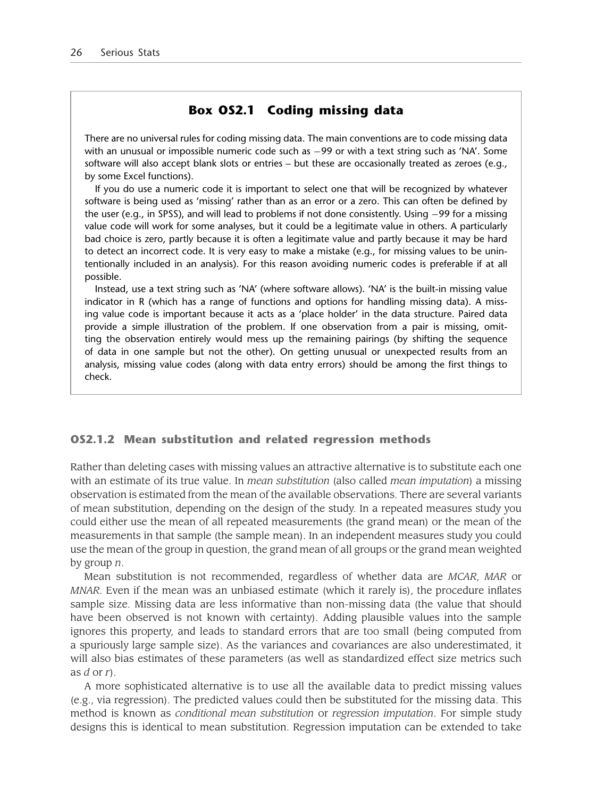### **Box OS2.1 Coding missing data**

There are no universal rules for coding missing data. The main conventions are to code missing data with an unusual or impossible numeric code such as −99 or with a text string such as 'NA'. Some software will also accept blank slots or entries – but these are occasionally treated as zeroes (e.g., by some Excel functions).

If you do use a numeric code it is important to select one that will be recognized by whatever software is being used as 'missing' rather than as an error or a zero. This can often be defined by the user (e.g., in SPSS), and will lead to problems if not done consistently. Using −99 for a missing value code will work for some analyses, but it could be a legitimate value in others. A particularly bad choice is zero, partly because it is often a legitimate value and partly because it may be hard to detect an incorrect code. It is very easy to make a mistake (e.g., for missing values to be unintentionally included in an analysis). For this reason avoiding numeric codes is preferable if at all possible.

Instead, use a text string such as 'NA' (where software allows). 'NA' is the built-in missing value indicator in R (which has a range of functions and options for handling missing data). A missing value code is important because it acts as a 'place holder' in the data structure. Paired data provide a simple illustration of the problem. If one observation from a pair is missing, omitting the observation entirely would mess up the remaining pairings (by shifting the sequence of data in one sample but not the other). On getting unusual or unexpected results from an analysis, missing value codes (along with data entry errors) should be among the first things to check.

#### **OS2.1.2 Mean substitution and related regression methods**

Rather than deleting cases with missing values an attractive alternative is to substitute each one with an estimate of its true value. In *mean substitution* (also called *mean imputation*) a missing observation is estimated from the mean of the available observations. There are several variants of mean substitution, depending on the design of the study. In a repeated measures study you could either use the mean of all repeated measurements (the grand mean) or the mean of the measurements in that sample (the sample mean). In an independent measures study you could use the mean of the group in question, the grand mean of all groups or the grand mean weighted by group *n*.

Mean substitution is not recommended, regardless of whether data are *MCAR*, *MAR* or *MNAR*. Even if the mean was an unbiased estimate (which it rarely is), the procedure inflates sample size. Missing data are less informative than non-missing data (the value that should have been observed is not known with certainty). Adding plausible values into the sample ignores this property, and leads to standard errors that are too small (being computed from a spuriously large sample size). As the variances and covariances are also underestimated, it will also bias estimates of these parameters (as well as standardized effect size metrics such as *d* or *r*).

A more sophisticated alternative is to use all the available data to predict missing values (e.g., via regression). The predicted values could then be substituted for the missing data. This method is known as *conditional mean substitution* or *regression imputation*. For simple study designs this is identical to mean substitution. Regression imputation can be extended to take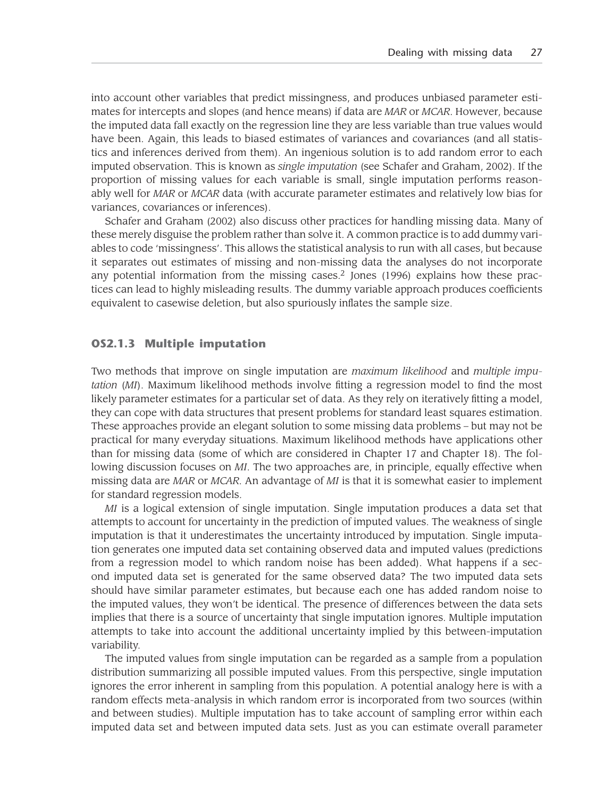into account other variables that predict missingness, and produces unbiased parameter estimates for intercepts and slopes (and hence means) if data are *MAR* or *MCAR*. However, because the imputed data fall exactly on the regression line they are less variable than true values would have been. Again, this leads to biased estimates of variances and covariances (and all statistics and inferences derived from them). An ingenious solution is to add random error to each imputed observation. This is known as *single imputation* (see Schafer and Graham, 2002). If the proportion of missing values for each variable is small, single imputation performs reasonably well for *MAR* or *MCAR* data (with accurate parameter estimates and relatively low bias for variances, covariances or inferences).

Schafer and Graham (2002) also discuss other practices for handling missing data. Many of these merely disguise the problem rather than solve it. A common practice is to add dummy variables to code 'missingness'. This allows the statistical analysis to run with all cases, but because it separates out estimates of missing and non-missing data the analyses do not incorporate any potential information from the missing cases.<sup>2</sup> Jones (1996) explains how these practices can lead to highly misleading results. The dummy variable approach produces coefficients equivalent to casewise deletion, but also spuriously inflates the sample size.

#### **OS2.1.3 Multiple imputation**

Two methods that improve on single imputation are *maximum likelihood* and *multiple imputation* (*MI*). Maximum likelihood methods involve fitting a regression model to find the most likely parameter estimates for a particular set of data. As they rely on iteratively fitting a model, they can cope with data structures that present problems for standard least squares estimation. These approaches provide an elegant solution to some missing data problems – but may not be practical for many everyday situations. Maximum likelihood methods have applications other than for missing data (some of which are considered in Chapter 17 and Chapter 18). The following discussion focuses on *MI*. The two approaches are, in principle, equally effective when missing data are *MAR* or *MCAR*. An advantage of *MI* is that it is somewhat easier to implement for standard regression models.

*MI* is a logical extension of single imputation. Single imputation produces a data set that attempts to account for uncertainty in the prediction of imputed values. The weakness of single imputation is that it underestimates the uncertainty introduced by imputation. Single imputation generates one imputed data set containing observed data and imputed values (predictions from a regression model to which random noise has been added). What happens if a second imputed data set is generated for the same observed data? The two imputed data sets should have similar parameter estimates, but because each one has added random noise to the imputed values, they won't be identical. The presence of differences between the data sets implies that there is a source of uncertainty that single imputation ignores. Multiple imputation attempts to take into account the additional uncertainty implied by this between-imputation variability.

The imputed values from single imputation can be regarded as a sample from a population distribution summarizing all possible imputed values. From this perspective, single imputation ignores the error inherent in sampling from this population. A potential analogy here is with a random effects meta-analysis in which random error is incorporated from two sources (within and between studies). Multiple imputation has to take account of sampling error within each imputed data set and between imputed data sets. Just as you can estimate overall parameter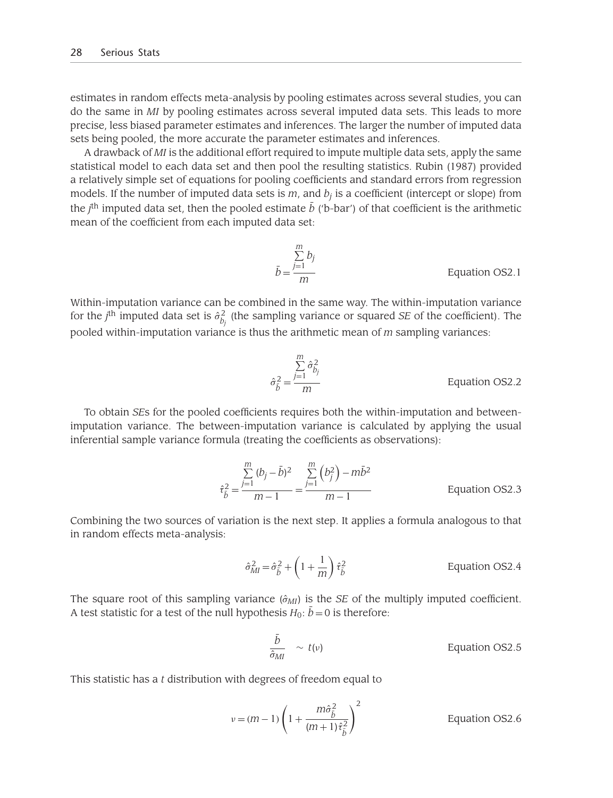estimates in random effects meta-analysis by pooling estimates across several studies, you can do the same in *MI* by pooling estimates across several imputed data sets. This leads to more precise, less biased parameter estimates and inferences. The larger the number of imputed data sets being pooled, the more accurate the parameter estimates and inferences.

A drawback of *MI* is the additional effort required to impute multiple data sets, apply the same statistical model to each data set and then pool the resulting statistics. Rubin (1987) provided a relatively simple set of equations for pooling coefficients and standard errors from regression models. If the number of imputed data sets is  $m$ , and  $b_j$  is a coefficient (intercept or slope) from the *j*<sup>th</sup> imputed data set, then the pooled estimate *b* ('b-bar') of that coefficient is the arithmetic mean of the coefficient from each imputed data set:

$$
\bar{b} = \frac{\sum_{j=1}^{m} b_j}{m}
$$
 Equation OS2.1

Within-imputation variance can be combined in the same way. The within-imputation variance for the  $j^{\text{th}}$  imputed data set is  $\hat{\sigma}^2_{b_j}$  (the sampling variance or squared *SE* of the coefficient). The pooled within-imputation variance is thus the arithmetic mean of *m* sampling variances:

$$
\hat{\sigma}_{\hat{b}}^2 = \frac{\sum_{j=1}^{m} \hat{\sigma}_{b_j}^2}{m}
$$
 Equation OS2.2

To obtain *SE*s for the pooled coefficients requires both the within-imputation and betweenimputation variance. The between-imputation variance is calculated by applying the usual inferential sample variance formula (treating the coefficients as observations):

$$
\hat{\tau}_{\bar{b}}^2 = \frac{\sum_{j=1}^m (b_j - \bar{b})^2}{m - 1} = \frac{\sum_{j=1}^m (b_j^2) - m\bar{b}^2}{m - 1}
$$
 Equation OS2.3

Combining the two sources of variation is the next step. It applies a formula analogous to that in random effects meta-analysis:

$$
\hat{\sigma}_{MI}^2 = \hat{\sigma}_{\tilde{b}}^2 + \left(1 + \frac{1}{m}\right)\hat{\tau}_{\tilde{b}}^2
$$
 Equation OS2.4

The square root of this sampling variance  $(\hat{\sigma}_{MI})$  is the *SE* of the multiply imputed coefficient. A test statistic for a test of the null hypothesis  $H_0$ :  $b = 0$  is therefore:

$$
\frac{\bar{b}}{\hat{\sigma}_{MI}} \sim t(v) \qquad \qquad \text{Equation OS2.5}
$$

This statistic has a *t* distribution with degrees of freedom equal to

$$
v = (m-1)\left(1 + \frac{m\hat{\sigma}_{\tilde{b}}^2}{(m+1)\hat{\tau}_{\tilde{b}}^2}\right)^2
$$
 Equation OS2.6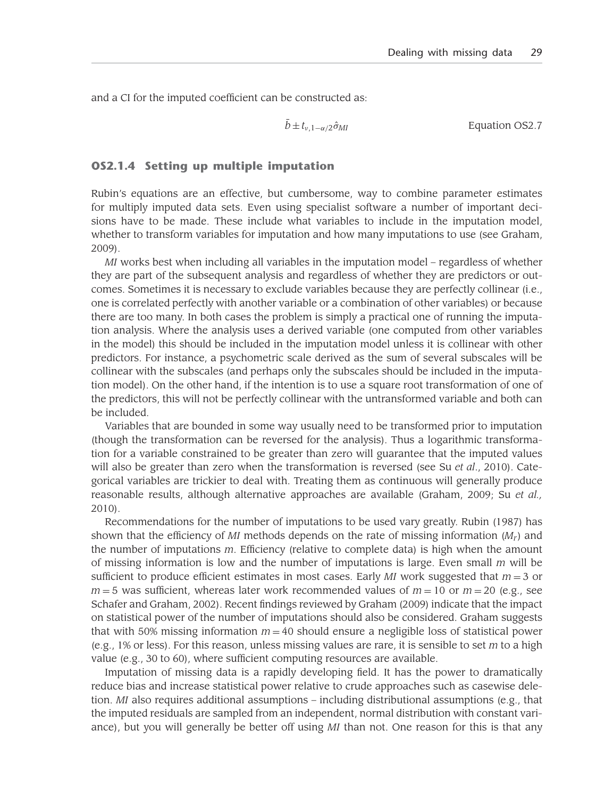and a CI for the imputed coefficient can be constructed as:

$$
\bar{b} \pm t_{\nu,1-\alpha/2} \hat{\sigma}_{MI} \qquad \qquad \text{Equation OS2.7}
$$

#### **OS2.1.4 Setting up multiple imputation**

Rubin's equations are an effective, but cumbersome, way to combine parameter estimates for multiply imputed data sets. Even using specialist software a number of important decisions have to be made. These include what variables to include in the imputation model, whether to transform variables for imputation and how many imputations to use (see Graham, 2009).

*MI* works best when including all variables in the imputation model – regardless of whether they are part of the subsequent analysis and regardless of whether they are predictors or outcomes. Sometimes it is necessary to exclude variables because they are perfectly collinear (i.e., one is correlated perfectly with another variable or a combination of other variables) or because there are too many. In both cases the problem is simply a practical one of running the imputation analysis. Where the analysis uses a derived variable (one computed from other variables in the model) this should be included in the imputation model unless it is collinear with other predictors. For instance, a psychometric scale derived as the sum of several subscales will be collinear with the subscales (and perhaps only the subscales should be included in the imputation model). On the other hand, if the intention is to use a square root transformation of one of the predictors, this will not be perfectly collinear with the untransformed variable and both can be included.

Variables that are bounded in some way usually need to be transformed prior to imputation (though the transformation can be reversed for the analysis). Thus a logarithmic transformation for a variable constrained to be greater than zero will guarantee that the imputed values will also be greater than zero when the transformation is reversed (see Su *et al*., 2010). Categorical variables are trickier to deal with. Treating them as continuous will generally produce reasonable results, although alternative approaches are available (Graham, 2009; Su *et al.,* 2010).

Recommendations for the number of imputations to be used vary greatly. Rubin (1987) has shown that the efficiency of *MI* methods depends on the rate of missing information  $(M<sub>r</sub>)$  and the number of imputations *m*. Efficiency (relative to complete data) is high when the amount of missing information is low and the number of imputations is large. Even small *m* will be sufficient to produce efficient estimates in most cases. Early *MI* work suggested that *m* = 3 or  $m = 5$  was sufficient, whereas later work recommended values of  $m = 10$  or  $m = 20$  (e.g., see Schafer and Graham, 2002). Recent findings reviewed by Graham (2009) indicate that the impact on statistical power of the number of imputations should also be considered. Graham suggests that with 50% missing information  $m = 40$  should ensure a negligible loss of statistical power (e.g., 1% or less). For this reason, unless missing values are rare, it is sensible to set *m* to a high value (e.g., 30 to 60), where sufficient computing resources are available.

Imputation of missing data is a rapidly developing field. It has the power to dramatically reduce bias and increase statistical power relative to crude approaches such as casewise deletion. *MI* also requires additional assumptions – including distributional assumptions (e.g., that the imputed residuals are sampled from an independent, normal distribution with constant variance), but you will generally be better off using *MI* than not. One reason for this is that any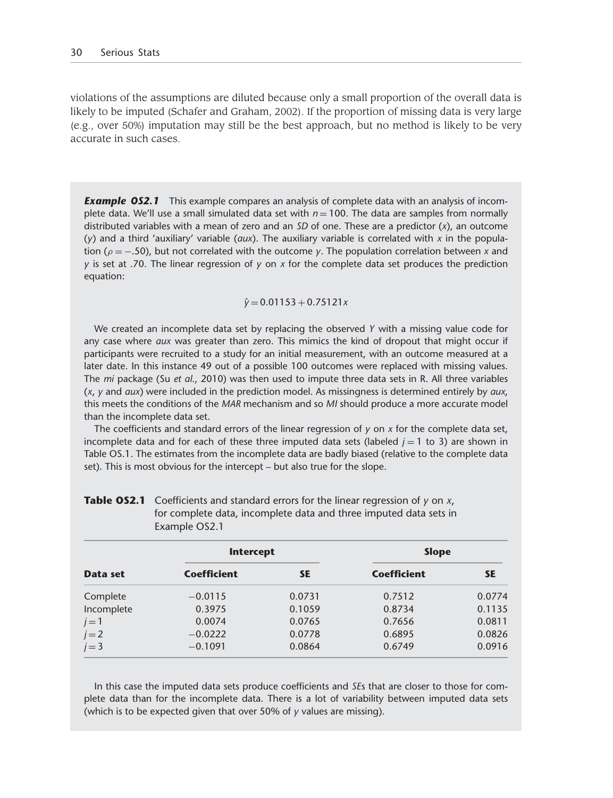violations of the assumptions are diluted because only a small proportion of the overall data is likely to be imputed (Schafer and Graham, 2002). If the proportion of missing data is very large (e.g., over 50%) imputation may still be the best approach, but no method is likely to be very accurate in such cases.

**Example OS2.1** This example compares an analysis of complete data with an analysis of incomplete data. We'll use a small simulated data set with  $n = 100$ . The data are samples from normally distributed variables with a mean of zero and an *SD* of one. These are a predictor (*x*), an outcome (*y*) and a third 'auxiliary' variable (*aux*). The auxiliary variable is correlated with *x* in the population (ρ = −.50), but not correlated with the outcome *y*. The population correlation between *x* and *y* is set at .70. The linear regression of *y* on *x* for the complete data set produces the prediction equation:

#### $\hat{y} = 0.01153 + 0.75121x$

We created an incomplete data set by replacing the observed *Y* with a missing value code for any case where *aux* was greater than zero. This mimics the kind of dropout that might occur if participants were recruited to a study for an initial measurement, with an outcome measured at a later date. In this instance 49 out of a possible 100 outcomes were replaced with missing values. The *mi* package (Su *et al*., 2010) was then used to impute three data sets in R. All three variables (*x*, *y* and *aux*) were included in the prediction model. As missingness is determined entirely by *aux*, this meets the conditions of the *MAR* mechanism and so *MI* should produce a more accurate model than the incomplete data set.

The coefficients and standard errors of the linear regression of *y* on *x* for the complete data set, incomplete data and for each of these three imputed data sets (labeled  $j = 1$  to 3) are shown in Table OS.1. The estimates from the incomplete data are badly biased (relative to the complete data set). This is most obvious for the intercept – but also true for the slope.

| Data set   | <b>Intercept</b>   |           | <b>Slope</b>       |           |
|------------|--------------------|-----------|--------------------|-----------|
|            | <b>Coefficient</b> | <b>SE</b> | <b>Coefficient</b> | <b>SE</b> |
| Complete   | $-0.0115$          | 0.0731    | 0.7512             | 0.0774    |
| Incomplete | 0.3975             | 0.1059    | 0.8734             | 0.1135    |
| $j=1$      | 0.0074             | 0.0765    | 0.7656             | 0.0811    |
| $j=2$      | $-0.0222$          | 0.0778    | 0.6895             | 0.0826    |
| $j = 3$    | $-0.1091$          | 0.0864    | 0.6749             | 0.0916    |

**Table OS2.1** Coefficients and standard errors for the linear regression of *y* on *x*, for complete data, incomplete data and three imputed data sets in Example OS2.1

In this case the imputed data sets produce coefficients and *SE*s that are closer to those for complete data than for the incomplete data. There is a lot of variability between imputed data sets (which is to be expected given that over 50% of *y* values are missing).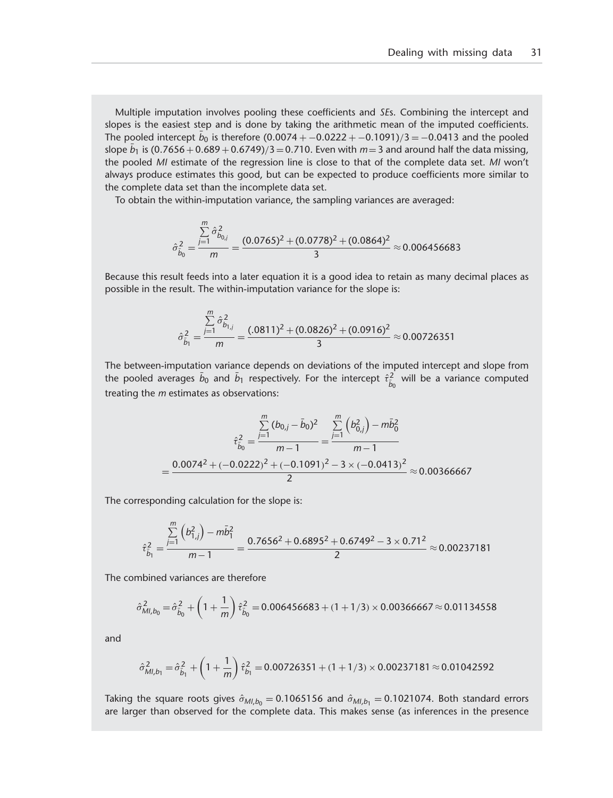Multiple imputation involves pooling these coefficients and *SE*s. Combining the intercept and slopes is the easiest step and is done by taking the arithmetic mean of the imputed coefficients. The pooled intercept  $b_0$  is therefore (0.0074  $+$   $-$ 0.0222  $+$   $-$ 0.1091)/3  $=$   $-$ 0.0413 and the pooled slope  $b_1$  is  $(0.7656 + 0.689 + 0.6749)/3 = 0.710$ . Even with  $m = 3$  and around half the data missing, the pooled *MI* estimate of the regression line is close to that of the complete data set. *MI* won't always produce estimates this good, but can be expected to produce coefficients more similar to the complete data set than the incomplete data set.

To obtain the within-imputation variance, the sampling variances are averaged:

$$
\hat{\sigma}_{\tilde{b}_0}^2 = \frac{\sum\limits_{j=1}^{m} \hat{\sigma}_{b_{0,j}}^2}{m} = \frac{(0.0765)^2 + (0.0778)^2 + (0.0864)^2}{3} \approx 0.006456683
$$

Because this result feeds into a later equation it is a good idea to retain as many decimal places as possible in the result. The within-imputation variance for the slope is:

$$
\hat{\sigma}_{\tilde{b}_1}^2 = \frac{\sum\limits_{j=1}^m \hat{\sigma}_{b_{1,j}}^2}{m} = \frac{(.0811)^2 + (0.0826)^2 + (0.0916)^2}{3} \approx 0.00726351
$$

The between-imputation variance depends on deviations of the imputed intercept and slope from the pooled averages  $b_0$  and  $b_1$  respectively. For the intercept  $\hat{\tau}^2_{\hat{b}_0}$  will be a variance computed treating the *m* estimates as observations:

$$
\hat{\tau}_{\tilde{b}_0}^2 = \frac{\sum_{j=1}^m (b_{0,j} - \bar{b}_0)^2}{m - 1} = \frac{\sum_{j=1}^m (b_{0,j}^2) - m\bar{b}_0^2}{m - 1}
$$

$$
= \frac{0.0074^2 + (-0.0222)^2 + (-0.1091)^2 - 3 \times (-0.0413)^2}{2} \approx 0.00366667
$$

The corresponding calculation for the slope is:

$$
\hat{\tau}_{\tilde{b}_1}^2 = \frac{\sum\limits_{j=1}^m (b_{1,j}^2) - m\bar{b}_1^2}{m-1} = \frac{0.7656^2 + 0.6895^2 + 0.6749^2 - 3 \times 0.71^2}{2} \approx 0.00237181
$$

The combined variances are therefore

$$
\hat{\sigma}_{MI,b_0}^2 = \hat{\sigma}_{\hat{b}_0}^2 + \left(1 + \frac{1}{m}\right)\hat{\tau}_{\hat{b}_0}^2 = 0.006456683 + (1 + 1/3) \times 0.00366667 \approx 0.01134558
$$

and

$$
\hat{\sigma}_{Ml,b_1}^2 = \hat{\sigma}_{\hat{b}_1}^2 + \left(1 + \frac{1}{m}\right)\hat{\tau}_{b_1}^2 = 0.00726351 + (1 + 1/3) \times 0.00237181 \approx 0.01042592
$$

Taking the square roots gives  $\hat{\sigma}_{Ml,b_0} = 0.1065156$  and  $\hat{\sigma}_{Ml,b_1} = 0.1021074$ . Both standard errors are larger than observed for the complete data. This makes sense (as inferences in the presence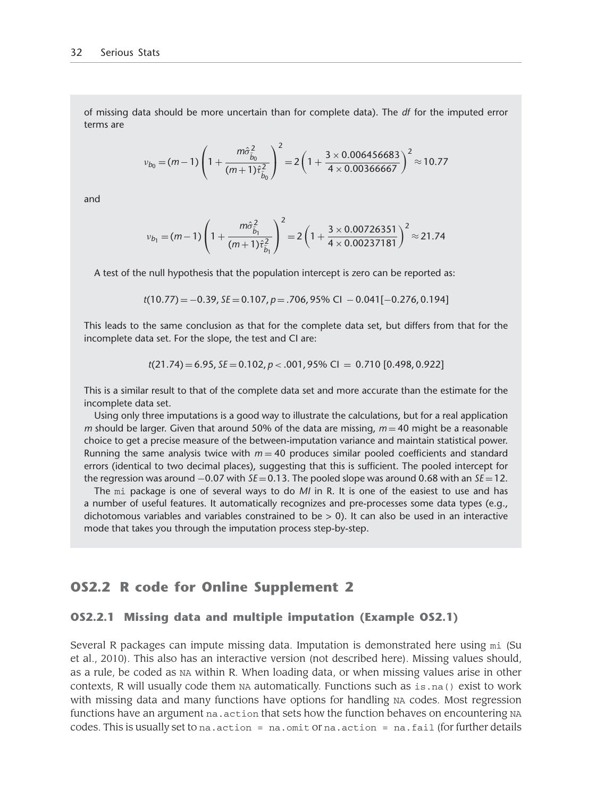of missing data should be more uncertain than for complete data). The *df* for the imputed error terms are

$$
v_{b_0} = (m-1)\left(1 + \frac{m\hat{\sigma}_{\hat{b}_0}^2}{(m+1)\hat{\tau}_{\hat{b}_0}^2}\right)^2 = 2\left(1 + \frac{3 \times 0.006456683}{4 \times 0.00366667}\right)^2 \approx 10.77
$$

and

$$
v_{b_1} = (m-1)\left(1 + \frac{m\hat{\sigma}_{\hat{b}_1}^2}{(m+1)\hat{\tau}_{\hat{b}_1}^2}\right)^2 = 2\left(1 + \frac{3 \times 0.00726351}{4 \times 0.00237181}\right)^2 \approx 21.74
$$

A test of the null hypothesis that the population intercept is zero can be reported as:

$$
t(10.77) = -0.39, \, \text{SE} = 0.107, \, p = .706, \, 95\% \, \text{CI} \, -0.041[-0.276, 0.194]
$$

This leads to the same conclusion as that for the complete data set, but differs from that for the incomplete data set. For the slope, the test and CI are:

$$
t(21.74) = 6.95, SE = 0.102, p < .001, 95\% \text{ CI} = 0.710 \, [0.498, 0.922]
$$

This is a similar result to that of the complete data set and more accurate than the estimate for the incomplete data set.

Using only three imputations is a good way to illustrate the calculations, but for a real application *m* should be larger. Given that around 50% of the data are missing,  $m = 40$  might be a reasonable choice to get a precise measure of the between-imputation variance and maintain statistical power. Running the same analysis twice with  $m = 40$  produces similar pooled coefficients and standard errors (identical to two decimal places), suggesting that this is sufficient. The pooled intercept for the regression was around −0.07 with *SE* =0.13. The pooled slope was around 0.68 with an *SE* =12.

The mi package is one of several ways to do *MI* in R. It is one of the easiest to use and has a number of useful features. It automatically recognizes and pre-processes some data types (e.g., dichotomous variables and variables constrained to be  $> 0$ ). It can also be used in an interactive mode that takes you through the imputation process step-by-step.

## **OS2.2 R code for Online Supplement 2**

#### **OS2.2.1 Missing data and multiple imputation (Example OS2.1)**

Several R packages can impute missing data. Imputation is demonstrated here using mi (Su et al., 2010). This also has an interactive version (not described here). Missing values should, as a rule, be coded as NA within R. When loading data, or when missing values arise in other contexts, R will usually code them  $NA$  automatically. Functions such as  $is.na()$  exist to work with missing data and many functions have options for handling NA codes. Most regression functions have an argument na. action that sets how the function behaves on encountering NA codes. This is usually set to na.action =  $na$ .omit or  $na$ .action =  $na$ .fail (for further details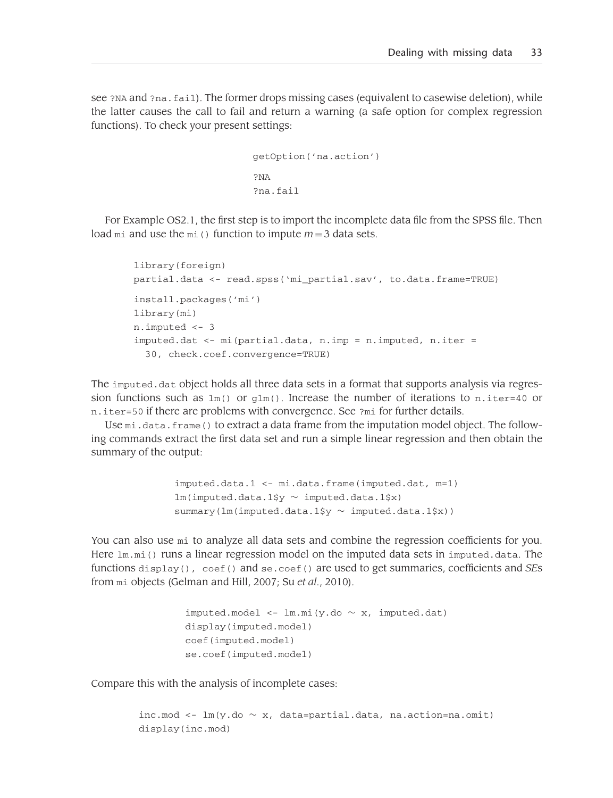see ?NA and ?na.fail). The former drops missing cases (equivalent to casewise deletion), while the latter causes the call to fail and return a warning (a safe option for complex regression functions). To check your present settings:

```
getOption('na.action')
?NA
?na.fail
```
For Example OS2.1, the first step is to import the incomplete data file from the SPSS file. Then load mi and use the mi() function to impute  $m = 3$  data sets.

```
library(foreign)
partial.data <- read.spss('mi_partial.sav', to.data.frame=TRUE)
install.packages('mi')
library(mi)
n.imputed <- 3
imputed.dat <- mi(partial.data, n.imp = n.imputed, n.iter =
  30, check.coef.convergence=TRUE)
```
The imputed.dat object holds all three data sets in a format that supports analysis via regression functions such as  $lm()$  or  $glm()$ . Increase the number of iterations to n.iter=40 or n.iter=50 if there are problems with convergence. See ?mi for further details.

Use mi.data.frame() to extract a data frame from the imputation model object. The following commands extract the first data set and run a simple linear regression and then obtain the summary of the output:

```
imputed.data.1 <- mi.data.frame(imputed.dat, m=1)
lm(imputed.data.1$y ∼ imputed.data.1$x)
summary(lm(imputed.data.1$y ∼ imputed.data.1$x))
```
You can also use mi to analyze all data sets and combine the regression coefficients for you. Here  $1m$ ,  $mi$  () runs a linear regression model on the imputed data sets in imputed.data. The functions display(), coef() and se.coef() are used to get summaries, coefficients and *SE*s from mi objects (Gelman and Hill, 2007; Su *et al*., 2010).

```
imputed.model <- lm.mi(y.do ∼ x, imputed.dat)
display(imputed.model)
coef(imputed.model)
se.coef(imputed.model)
```
Compare this with the analysis of incomplete cases:

```
inc.mod <- lm(y.do \sim x, data=partial.data, na.action=na.omit)
display(inc.mod)
```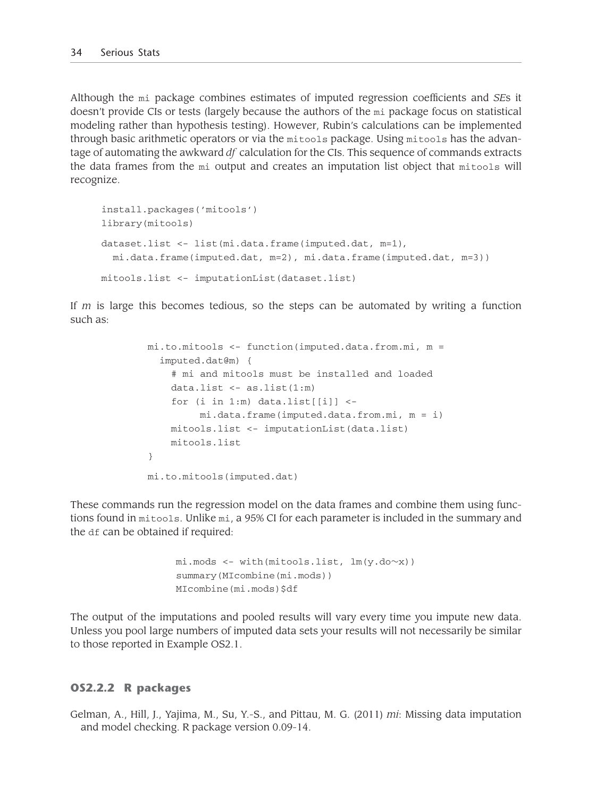Although the mi package combines estimates of imputed regression coefficients and *SE*s it doesn't provide CIs or tests (largely because the authors of the mi package focus on statistical modeling rather than hypothesis testing). However, Rubin's calculations can be implemented through basic arithmetic operators or via the mitools package. Using mitools has the advantage of automating the awkward *df* calculation for the CIs. This sequence of commands extracts the data frames from the mi output and creates an imputation list object that mitools will recognize.

```
install.packages('mitools')
library(mitools)
dataset.list <- list(mi.data.frame(imputed.dat, m=1),
 mi.data.frame(imputed.dat, m=2), mi.data.frame(imputed.dat, m=3))
mitools.list <- imputationList(dataset.list)
```
If *m* is large this becomes tedious, so the steps can be automated by writing a function such as:

```
mi.to.mitools <- function(imputed.data.from.mi, m =
  imputed.dat@m) {
    # mi and mitools must be installed and loaded
    data.list \leq -as.list(1:m)for (i in 1:m) data.list\lceil \frac{1}{1} \rceil <-
         mi.data.frame(imputed.data.from.mi, m = i)
    mitools.list <- imputationList(data.list)
    mitools.list
}
mi.to.mitools(imputed.dat)
```
These commands run the regression model on the data frames and combine them using functions found in mitools. Unlike mi, a 95% CI for each parameter is included in the summary and the df can be obtained if required:

```
mi.mods <- with(mitools.list, lm(y.do∼x))
summary(MIcombine(mi.mods))
MIcombine(mi.mods)$df
```
The output of the imputations and pooled results will vary every time you impute new data. Unless you pool large numbers of imputed data sets your results will not necessarily be similar to those reported in Example OS2.1.

#### **OS2.2.2 R packages**

Gelman, A., Hill, J., Yajima, M., Su, Y.-S., and Pittau, M. G. (2011) *mi*: Missing data imputation and model checking. R package version 0.09-14.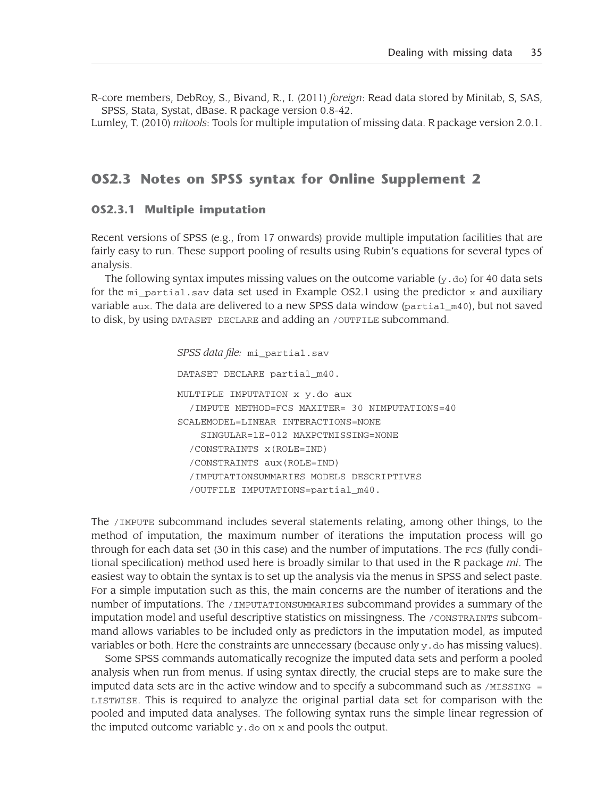R-core members, DebRoy, S., Bivand, R., I. (2011) *foreign*: Read data stored by Minitab, S, SAS, SPSS, Stata, Systat, dBase. R package version 0.8-42.

Lumley, T. (2010) *mitools*: Tools for multiple imputation of missing data. R package version 2.0.1.

# **OS2.3 Notes on SPSS syntax for Online Supplement 2**

#### **OS2.3.1 Multiple imputation**

Recent versions of SPSS (e.g., from 17 onwards) provide multiple imputation facilities that are fairly easy to run. These support pooling of results using Rubin's equations for several types of analysis.

The following syntax imputes missing values on the outcome variable  $(y, d_0)$  for 40 data sets for the  $m$  partial.sav data set used in Example OS2.1 using the predictor x and auxiliary variable aux. The data are delivered to a new SPSS data window (partial\_m40), but not saved to disk, by using DATASET DECLARE and adding an /OUTFILE subcommand.

*SPSS data file:* mi\_partial.sav

DATASET DECLARE partial m40.

MULTIPLE IMPUTATION x y.do aux /IMPUTE METHOD=FCS MAXITER= 30 NIMPUTATIONS=40 SCALEMODEL=LINEAR INTERACTIONS=NONE SINGULAR=1E-012 MAXPCTMISSING=NONE /CONSTRAINTS x(ROLE=IND) /CONSTRAINTS aux(ROLE=IND) /IMPUTATIONSUMMARIES MODELS DESCRIPTIVES /OUTFILE IMPUTATIONS=partial\_m40.

The /IMPUTE subcommand includes several statements relating, among other things, to the method of imputation, the maximum number of iterations the imputation process will go through for each data set (30 in this case) and the number of imputations. The FCS (fully conditional specification) method used here is broadly similar to that used in the R package *mi*. The easiest way to obtain the syntax is to set up the analysis via the menus in SPSS and select paste. For a simple imputation such as this, the main concerns are the number of iterations and the number of imputations. The /IMPUTATIONSUMMARIES subcommand provides a summary of the imputation model and useful descriptive statistics on missingness. The /CONSTRAINTS subcommand allows variables to be included only as predictors in the imputation model, as imputed variables or both. Here the constraints are unnecessary (because only  $y$ , do has missing values).

Some SPSS commands automatically recognize the imputed data sets and perform a pooled analysis when run from menus. If using syntax directly, the crucial steps are to make sure the imputed data sets are in the active window and to specify a subcommand such as  $/$ MISSING = LISTWISE. This is required to analyze the original partial data set for comparison with the pooled and imputed data analyses. The following syntax runs the simple linear regression of the imputed outcome variable  $y \cdot do$  on  $x$  and pools the output.